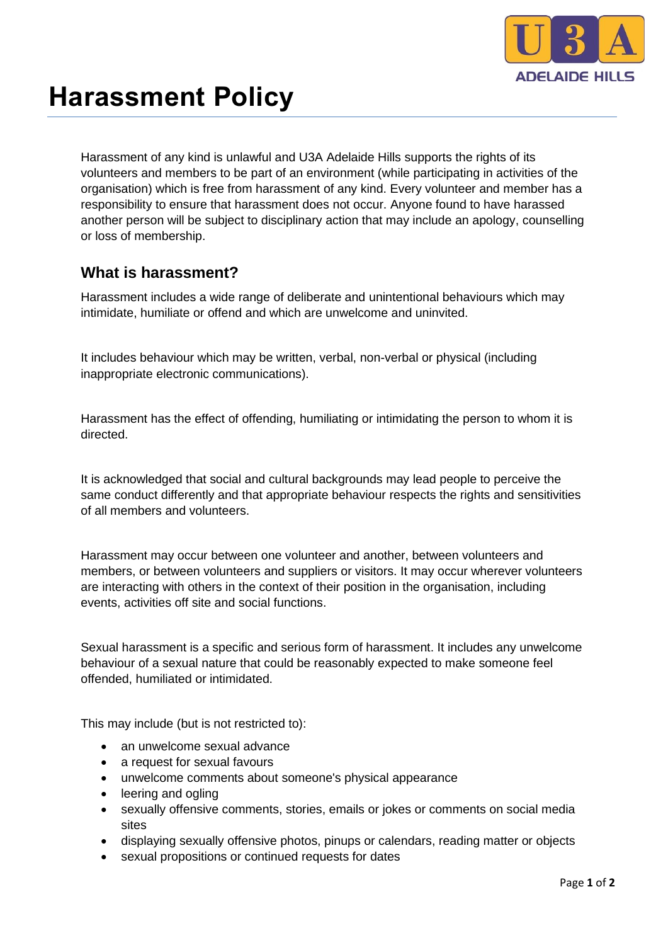

## **Harassment Policy**

Harassment of any kind is unlawful and U3A Adelaide Hills supports the rights of its volunteers and members to be part of an environment (while participating in activities of the organisation) which is free from harassment of any kind. Every volunteer and member has a responsibility to ensure that harassment does not occur. Anyone found to have harassed another person will be subject to disciplinary action that may include an apology, counselling or loss of membership.

## **What is harassment?**

Harassment includes a wide range of deliberate and unintentional behaviours which may intimidate, humiliate or offend and which are unwelcome and uninvited.

It includes behaviour which may be written, verbal, non-verbal or physical (including inappropriate electronic communications).

Harassment has the effect of offending, humiliating or intimidating the person to whom it is directed.

It is acknowledged that social and cultural backgrounds may lead people to perceive the same conduct differently and that appropriate behaviour respects the rights and sensitivities of all members and volunteers.

Harassment may occur between one volunteer and another, between volunteers and members, or between volunteers and suppliers or visitors. It may occur wherever volunteers are interacting with others in the context of their position in the organisation, including events, activities off site and social functions.

Sexual harassment is a specific and serious form of harassment. It includes any unwelcome behaviour of a sexual nature that could be reasonably expected to make someone feel offended, humiliated or intimidated.

This may include (but is not restricted to):

- an unwelcome sexual advance
- a request for sexual favours
- unwelcome comments about someone's physical appearance
- leering and ogling
- sexually offensive comments, stories, emails or jokes or comments on social media sites
- displaying sexually offensive photos, pinups or calendars, reading matter or objects
- sexual propositions or continued requests for dates